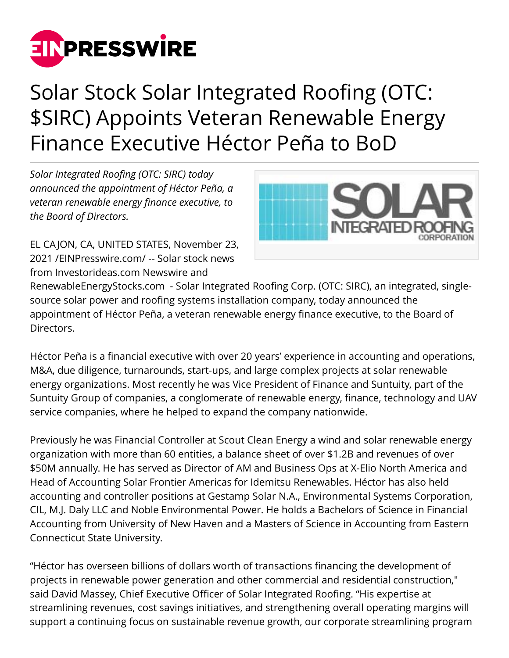

## Solar Stock Solar Integrated Roofing (OTC: \$SIRC) Appoints Veteran Renewable Energy Finance Executive Héctor Peña to BoD

*Solar Integrated Roofing (OTC: SIRC) today announced the appointment of Héctor Peña, a veteran renewable energy finance executive, to the Board of Directors.*

EL CAJON, CA, UNITED STATES, November 23, 2021 /[EINPresswire.com](http://www.einpresswire.com)/ -- Solar stock news from Investorideas.com Newswire and



RenewableEnergyStocks.com - Solar Integrated Roofing Corp. (OTC: SIRC), an integrated, singlesource solar power and roofing systems installation company, today announced the appointment of Héctor Peña, a veteran renewable energy finance executive, to the Board of Directors.

Héctor Peña is a financial executive with over 20 years' experience in accounting and operations, M&A, due diligence, turnarounds, start-ups, and large complex projects at solar renewable energy organizations. Most recently he was Vice President of Finance and Suntuity, part of the Suntuity Group of companies, a conglomerate of renewable energy, finance, technology and UAV service companies, where he helped to expand the company nationwide.

Previously he was Financial Controller at Scout Clean Energy a wind and solar renewable energy organization with more than 60 entities, a balance sheet of over \$1.2B and revenues of over \$50M annually. He has served as Director of AM and Business Ops at X-Elio North America and Head of Accounting Solar Frontier Americas for Idemitsu Renewables. Héctor has also held accounting and controller positions at Gestamp Solar N.A., Environmental Systems Corporation, CIL, M.J. Daly LLC and Noble Environmental Power. He holds a Bachelors of Science in Financial Accounting from University of New Haven and a Masters of Science in Accounting from Eastern Connecticut State University.

"Héctor has overseen billions of dollars worth of transactions financing the development of projects in renewable power generation and other commercial and residential construction," said David Massey, Chief Executive Officer of Solar Integrated Roofing. "His expertise at streamlining revenues, cost savings initiatives, and strengthening overall operating margins will support a continuing focus on sustainable revenue growth, our corporate streamlining program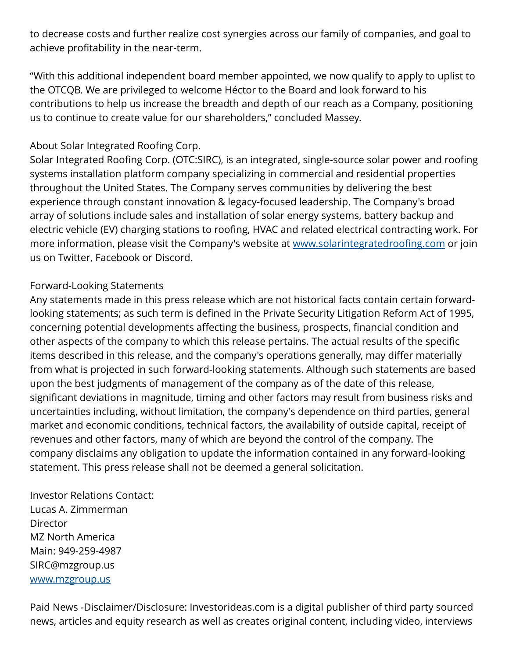to decrease costs and further realize cost synergies across our family of companies, and goal to achieve profitability in the near-term.

"With this additional independent board member appointed, we now qualify to apply to uplist to the OTCQB. We are privileged to welcome Héctor to the Board and look forward to his contributions to help us increase the breadth and depth of our reach as a Company, positioning us to continue to create value for our shareholders," concluded Massey.

## About Solar Integrated Roofing Corp.

Solar Integrated Roofing Corp. (OTC:SIRC), is an integrated, single-source solar power and roofing systems installation platform company specializing in commercial and residential properties throughout the United States. The Company serves communities by delivering the best experience through constant innovation & legacy-focused leadership. The Company's broad array of solutions include sales and installation of solar energy systems, battery backup and electric vehicle (EV) charging stations to roofing, HVAC and related electrical contracting work. For more information, please visit the Company's website at [www.solarintegratedroofing.com](http://www.solarintegratedroofing.com) or join us on Twitter, Facebook or Discord.

## Forward-Looking Statements

Any statements made in this press release which are not historical facts contain certain forwardlooking statements; as such term is defined in the Private Security Litigation Reform Act of 1995, concerning potential developments affecting the business, prospects, financial condition and other aspects of the company to which this release pertains. The actual results of the specific items described in this release, and the company's operations generally, may differ materially from what is projected in such forward-looking statements. Although such statements are based upon the best judgments of management of the company as of the date of this release, significant deviations in magnitude, timing and other factors may result from business risks and uncertainties including, without limitation, the company's dependence on third parties, general market and economic conditions, technical factors, the availability of outside capital, receipt of revenues and other factors, many of which are beyond the control of the company. The company disclaims any obligation to update the information contained in any forward-looking statement. This press release shall not be deemed a general solicitation.

Investor Relations Contact: Lucas A. Zimmerman **Director** MZ North America Main: 949-259-4987 SIRC@mzgroup.us [www.mzgroup.us](http://www.mzgroup.us)

Paid News -Disclaimer/Disclosure: Investorideas.com is a digital publisher of third party sourced news, articles and equity research as well as creates original content, including video, interviews